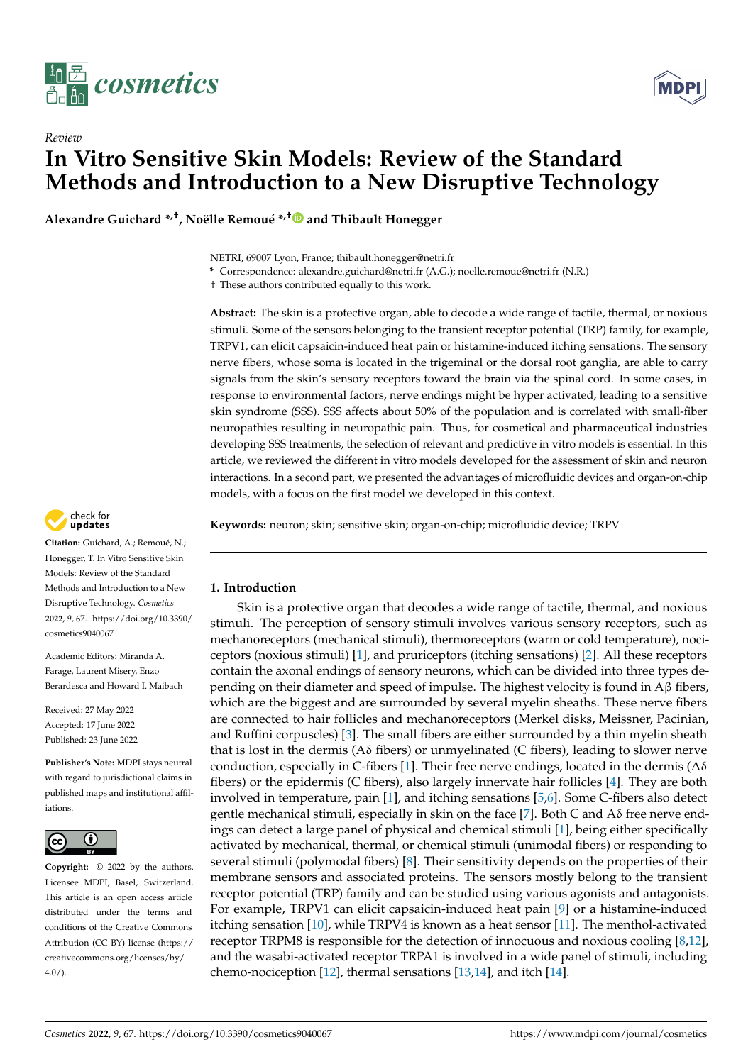

*Review*



# **In Vitro Sensitive Skin Models: Review of the Standard Methods and Introduction to a New Disruptive Technology**

**Alexandre Guichard \*,†, Noëlle Remoué \* ,[†](https://orcid.org/0000-0002-3205-4594) and Thibault Honegger**

NETRI, 69007 Lyon, France; thibault.honegger@netri.fr

**\*** Correspondence: alexandre.guichard@netri.fr (A.G.); noelle.remoue@netri.fr (N.R.)

† These authors contributed equally to this work.

**Abstract:** The skin is a protective organ, able to decode a wide range of tactile, thermal, or noxious stimuli. Some of the sensors belonging to the transient receptor potential (TRP) family, for example, TRPV1, can elicit capsaicin-induced heat pain or histamine-induced itching sensations. The sensory nerve fibers, whose soma is located in the trigeminal or the dorsal root ganglia, are able to carry signals from the skin's sensory receptors toward the brain via the spinal cord. In some cases, in response to environmental factors, nerve endings might be hyper activated, leading to a sensitive skin syndrome (SSS). SSS affects about 50% of the population and is correlated with small-fiber neuropathies resulting in neuropathic pain. Thus, for cosmetical and pharmaceutical industries developing SSS treatments, the selection of relevant and predictive in vitro models is essential. In this article, we reviewed the different in vitro models developed for the assessment of skin and neuron interactions. In a second part, we presented the advantages of microfluidic devices and organ-on-chip models, with a focus on the first model we developed in this context.

check for updates

**Citation:** Guichard, A.; Remoué, N.; Honegger, T. In Vitro Sensitive Skin Models: Review of the Standard Methods and Introduction to a New Disruptive Technology. *Cosmetics* **2022**, *9*, 67. [https://doi.org/10.3390/](https://doi.org/10.3390/cosmetics9040067) [cosmetics9040067](https://doi.org/10.3390/cosmetics9040067)

Academic Editors: Miranda A. Farage, Laurent Misery, Enzo Berardesca and Howard I. Maibach

Received: 27 May 2022 Accepted: 17 June 2022 Published: 23 June 2022

**Publisher's Note:** MDPI stays neutral with regard to jurisdictional claims in published maps and institutional affiliations.



**Copyright:** © 2022 by the authors. Licensee MDPI, Basel, Switzerland. This article is an open access article distributed under the terms and conditions of the Creative Commons Attribution (CC BY) license [\(https://](https://creativecommons.org/licenses/by/4.0/) [creativecommons.org/licenses/by/](https://creativecommons.org/licenses/by/4.0/)  $4.0/$ ).

**Keywords:** neuron; skin; sensitive skin; organ-on-chip; microfluidic device; TRPV

## **1. Introduction**

Skin is a protective organ that decodes a wide range of tactile, thermal, and noxious stimuli. The perception of sensory stimuli involves various sensory receptors, such as mechanoreceptors (mechanical stimuli), thermoreceptors (warm or cold temperature), nociceptors (noxious stimuli) [\[1\]](#page-7-0), and pruriceptors (itching sensations) [\[2\]](#page-7-1). All these receptors contain the axonal endings of sensory neurons, which can be divided into three types depending on their diameter and speed of impulse. The highest velocity is found in Aβ fibers, which are the biggest and are surrounded by several myelin sheaths. These nerve fibers are connected to hair follicles and mechanoreceptors (Merkel disks, Meissner, Pacinian, and Ruffini corpuscles) [\[3\]](#page-7-2). The small fibers are either surrounded by a thin myelin sheath that is lost in the dermis ( $A\delta$  fibers) or unmyelinated (C fibers), leading to slower nerve conduction, especially in C-fibers [\[1\]](#page-7-0). Their free nerve endings, located in the dermis ( $A\delta$ fibers) or the epidermis (C fibers), also largely innervate hair follicles [\[4\]](#page-7-3). They are both involved in temperature, pain [\[1\]](#page-7-0), and itching sensations [\[5](#page-7-4)[,6\]](#page-7-5). Some C-fibers also detect gentle mechanical stimuli, especially in skin on the face [\[7\]](#page-7-6). Both C and Aδ free nerve endings can detect a large panel of physical and chemical stimuli [\[1\]](#page-7-0), being either specifically activated by mechanical, thermal, or chemical stimuli (unimodal fibers) or responding to several stimuli (polymodal fibers) [\[8\]](#page-7-7). Their sensitivity depends on the properties of their membrane sensors and associated proteins. The sensors mostly belong to the transient receptor potential (TRP) family and can be studied using various agonists and antagonists. For example, TRPV1 can elicit capsaicin-induced heat pain [\[9\]](#page-7-8) or a histamine-induced itching sensation [\[10\]](#page-7-9), while TRPV4 is known as a heat sensor [\[11\]](#page-7-10). The menthol-activated receptor TRPM8 is responsible for the detection of innocuous and noxious cooling [\[8,](#page-7-7)[12\]](#page-7-11), and the wasabi-activated receptor TRPA1 is involved in a wide panel of stimuli, including chemo-nociception [\[12\]](#page-7-11), thermal sensations [\[13](#page-7-12)[,14\]](#page-7-13), and itch [\[14\]](#page-7-13).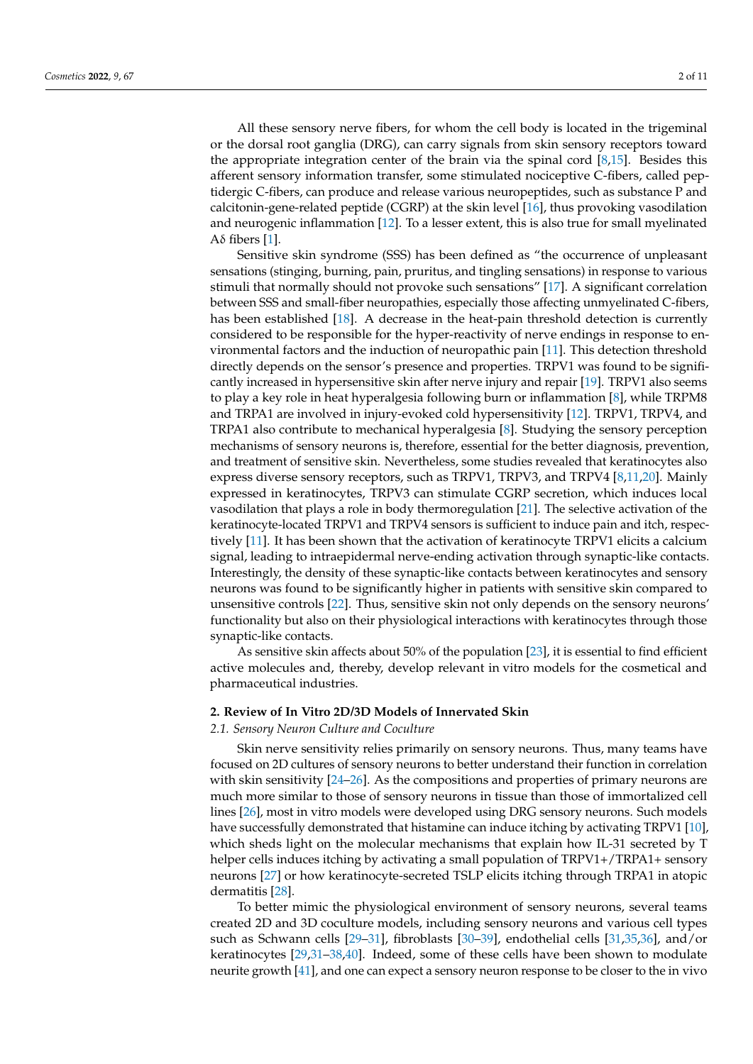All these sensory nerve fibers, for whom the cell body is located in the trigeminal or the dorsal root ganglia (DRG), can carry signals from skin sensory receptors toward the appropriate integration center of the brain via the spinal cord  $[8,15]$  $[8,15]$ . Besides this afferent sensory information transfer, some stimulated nociceptive C-fibers, called peptidergic C-fibers, can produce and release various neuropeptides, such as substance P and calcitonin-gene-related peptide (CGRP) at the skin level [\[16\]](#page-7-15), thus provoking vasodilation and neurogenic inflammation [\[12\]](#page-7-11). To a lesser extent, this is also true for small myelinated Aδ fibers [\[1\]](#page-7-0).

Sensitive skin syndrome (SSS) has been defined as "the occurrence of unpleasant sensations (stinging, burning, pain, pruritus, and tingling sensations) in response to various stimuli that normally should not provoke such sensations" [\[17\]](#page-7-16). A significant correlation between SSS and small-fiber neuropathies, especially those affecting unmyelinated C-fibers, has been established [\[18\]](#page-8-0). A decrease in the heat-pain threshold detection is currently considered to be responsible for the hyper-reactivity of nerve endings in response to environmental factors and the induction of neuropathic pain [\[11\]](#page-7-10). This detection threshold directly depends on the sensor's presence and properties. TRPV1 was found to be significantly increased in hypersensitive skin after nerve injury and repair [\[19\]](#page-8-1). TRPV1 also seems to play a key role in heat hyperalgesia following burn or inflammation [\[8\]](#page-7-7), while TRPM8 and TRPA1 are involved in injury-evoked cold hypersensitivity [\[12\]](#page-7-11). TRPV1, TRPV4, and TRPA1 also contribute to mechanical hyperalgesia [\[8\]](#page-7-7). Studying the sensory perception mechanisms of sensory neurons is, therefore, essential for the better diagnosis, prevention, and treatment of sensitive skin. Nevertheless, some studies revealed that keratinocytes also express diverse sensory receptors, such as TRPV1, TRPV3, and TRPV4 [\[8,](#page-7-7)[11,](#page-7-10)[20\]](#page-8-2). Mainly expressed in keratinocytes, TRPV3 can stimulate CGRP secretion, which induces local vasodilation that plays a role in body thermoregulation [\[21\]](#page-8-3). The selective activation of the keratinocyte-located TRPV1 and TRPV4 sensors is sufficient to induce pain and itch, respectively [\[11\]](#page-7-10). It has been shown that the activation of keratinocyte TRPV1 elicits a calcium signal, leading to intraepidermal nerve-ending activation through synaptic-like contacts. Interestingly, the density of these synaptic-like contacts between keratinocytes and sensory neurons was found to be significantly higher in patients with sensitive skin compared to unsensitive controls [\[22\]](#page-8-4). Thus, sensitive skin not only depends on the sensory neurons' functionality but also on their physiological interactions with keratinocytes through those synaptic-like contacts.

As sensitive skin affects about 50% of the population [\[23\]](#page-8-5), it is essential to find efficient active molecules and, thereby, develop relevant in vitro models for the cosmetical and pharmaceutical industries.

### **2. Review of In Vitro 2D/3D Models of Innervated Skin**

*2.1. Sensory Neuron Culture and Coculture*

Skin nerve sensitivity relies primarily on sensory neurons. Thus, many teams have focused on 2D cultures of sensory neurons to better understand their function in correlation with skin sensitivity [\[24–](#page-8-6)[26\]](#page-8-7). As the compositions and properties of primary neurons are much more similar to those of sensory neurons in tissue than those of immortalized cell lines [\[26\]](#page-8-7), most in vitro models were developed using DRG sensory neurons. Such models have successfully demonstrated that histamine can induce itching by activating TRPV1 [\[10\]](#page-7-9), which sheds light on the molecular mechanisms that explain how IL-31 secreted by T helper cells induces itching by activating a small population of TRPV1+/TRPA1+ sensory neurons [\[27\]](#page-8-8) or how keratinocyte-secreted TSLP elicits itching through TRPA1 in atopic dermatitis [\[28\]](#page-8-9).

To better mimic the physiological environment of sensory neurons, several teams created 2D and 3D coculture models, including sensory neurons and various cell types such as Schwann cells [\[29](#page-8-10)[–31\]](#page-8-11), fibroblasts [\[30](#page-8-12)[–39\]](#page-8-13), endothelial cells [\[31](#page-8-11)[,35,](#page-8-14)[36\]](#page-8-15), and/or keratinocytes [\[29,](#page-8-10)[31–](#page-8-11)[38,](#page-8-16)[40\]](#page-8-17). Indeed, some of these cells have been shown to modulate neurite growth [\[41\]](#page-8-18), and one can expect a sensory neuron response to be closer to the in vivo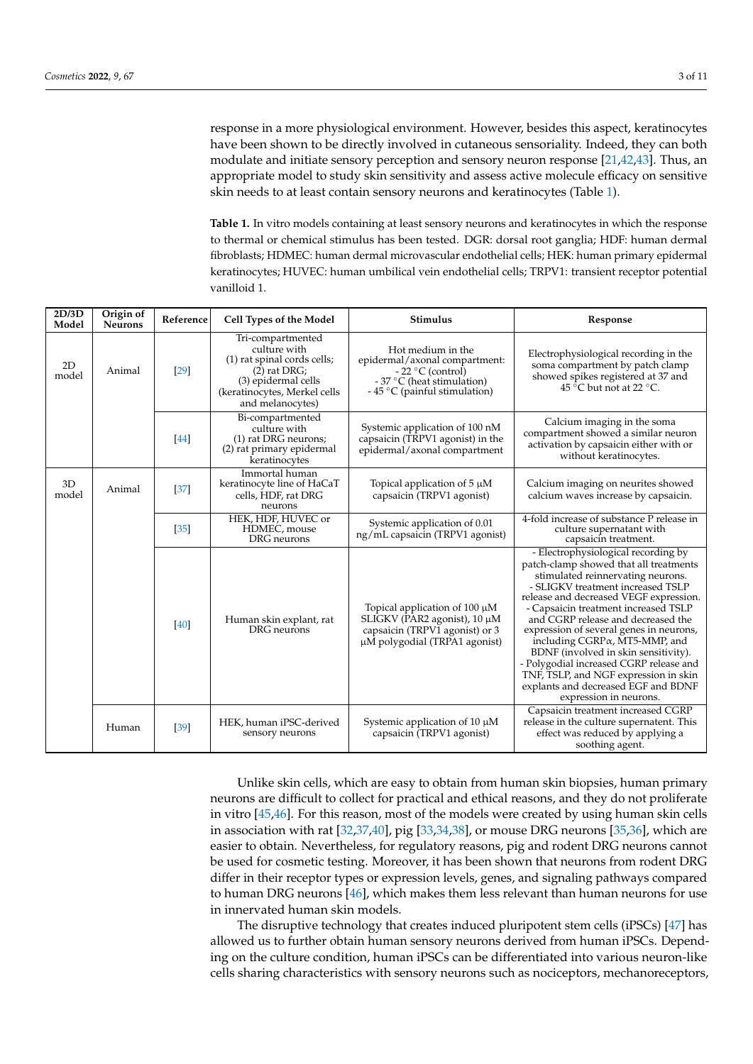response in a more physiological environment. However, besides this aspect, keratinocytes have been shown to be directly involved in cutaneous sensoriality. Indeed, they can both modulate and initiate sensory perception and sensory neuron response [\[21](#page-8-3)[,42](#page-8-19)[,43\]](#page-8-20). Thus, an appropriate model to study skin sensitivity and assess active molecule efficacy on sensitive skin needs to at least contain sensory neurons and keratinocytes (Table [1\)](#page-2-0).

<span id="page-2-0"></span>**Table 1.** In vitro models containing at least sensory neurons and keratinocytes in which the response to thermal or chemical stimulus has been tested. DGR: dorsal root ganglia; HDF: human dermal fibroblasts; HDMEC: human dermal microvascular endothelial cells; HEK: human primary epidermal keratinocytes; HUVEC: human umbilical vein endothelial cells; TRPV1: transient receptor potential vanilloid 1.

| 2D/3D<br>Model | Origin of<br><b>Neurons</b> | Reference | Cell Types of the Model                                                                                                                                       | Stimulus                                                                                                                                | Response                                                                                                                                                                                                                                                                                                                                                                                                                                                                                                                                                                           |
|----------------|-----------------------------|-----------|---------------------------------------------------------------------------------------------------------------------------------------------------------------|-----------------------------------------------------------------------------------------------------------------------------------------|------------------------------------------------------------------------------------------------------------------------------------------------------------------------------------------------------------------------------------------------------------------------------------------------------------------------------------------------------------------------------------------------------------------------------------------------------------------------------------------------------------------------------------------------------------------------------------|
| 2D<br>model    | Animal                      | $[29]$    | Tri-compartmented<br>culture with<br>(1) rat spinal cords cells;<br>$(2)$ rat DRG;<br>(3) epidermal cells<br>(keratinocytes, Merkel cells<br>and melanocytes) | Hot medium in the<br>epidermal/axonal compartment:<br>$-22$ °C (control)<br>- 37 °C (heat stimulation)<br>- 45 °C (painful stimulation) | Electrophysiological recording in the<br>soma compartment by patch clamp<br>showed spikes registered at 37 and<br>45 °C but not at 22 °C.                                                                                                                                                                                                                                                                                                                                                                                                                                          |
|                |                             | [44]      | Bi-compartmented<br>culture with<br>(1) rat DRG neurons;<br>(2) rat primary epidermal<br>keratinocytes                                                        | Systemic application of 100 nM<br>capsaicin (TRPV1 agonist) in the<br>epidermal/axonal compartment                                      | Calcium imaging in the soma<br>compartment showed a similar neuron<br>activation by capsaicin either with or<br>without keratinocytes.                                                                                                                                                                                                                                                                                                                                                                                                                                             |
| 3D<br>model    | Animal                      | $[37]$    | Immortal human<br>keratinocyte line of HaCaT<br>cells, HDF, rat DRG<br>neurons                                                                                | Topical application of $5 \mu M$<br>capsaicin (TRPV1 agonist)                                                                           | Calcium imaging on neurites showed<br>calcium waves increase by capsaicin.                                                                                                                                                                                                                                                                                                                                                                                                                                                                                                         |
|                |                             | $[35]$    | HEK, HDF, HUVEC or<br>HDMEC, mouse<br>DRG neurons                                                                                                             | Systemic application of 0.01<br>ng/mL capsaicin (TRPV1 agonist)                                                                         | 4-fold increase of substance P release in<br>culture supernatant with<br>capsaicin treatment.                                                                                                                                                                                                                                                                                                                                                                                                                                                                                      |
|                |                             | [40]      | Human skin explant, rat<br>DRG neurons                                                                                                                        | Topical application of $100 \mu M$<br>SLIGKV (PAR2 agonist), 10 μM<br>capsaicin (TRPV1 agonist) or 3<br>µM polygodial (TRPA1 agonist)   | - Electrophysiological recording by<br>patch-clamp showed that all treatments<br>stimulated reinnervating neurons.<br>- SLIGKV treatment increased TSLP<br>release and decreased VEGF expression.<br>- Capsaicin treatment increased TSLP<br>and CGRP release and decreased the<br>expression of several genes in neurons,<br>including CGRP <sub>a</sub> , MT <sub>5</sub> -MMP, and<br>BDNF (involved in skin sensitivity).<br>- Polygodial increased CGRP release and<br>TNF, TSLP, and NGF expression in skin<br>explants and decreased EGF and BDNF<br>expression in neurons. |
|                | Human                       | $[39]$    | HEK, human iPSC-derived<br>sensory neurons                                                                                                                    | Systemic application of 10 $\mu$ M<br>capsaicin (TRPV1 agonist)                                                                         | Capsaicin treatment increased CGRP<br>release in the culture supernatent. This<br>effect was reduced by applying a<br>soothing agent.                                                                                                                                                                                                                                                                                                                                                                                                                                              |

Unlike skin cells, which are easy to obtain from human skin biopsies, human primary neurons are difficult to collect for practical and ethical reasons, and they do not proliferate in vitro [\[45,](#page-9-1)[46\]](#page-9-2). For this reason, most of the models were created by using human skin cells in association with rat [\[32,](#page-8-22)[37,](#page-8-21)[40\]](#page-8-17), pig [\[33,](#page-8-23)[34,](#page-8-24)[38\]](#page-8-16), or mouse DRG neurons [\[35](#page-8-14)[,36\]](#page-8-15), which are easier to obtain. Nevertheless, for regulatory reasons, pig and rodent DRG neurons cannot be used for cosmetic testing. Moreover, it has been shown that neurons from rodent DRG differ in their receptor types or expression levels, genes, and signaling pathways compared to human DRG neurons [\[46\]](#page-9-2), which makes them less relevant than human neurons for use in innervated human skin models.

The disruptive technology that creates induced pluripotent stem cells (iPSCs) [\[47\]](#page-9-3) has allowed us to further obtain human sensory neurons derived from human iPSCs. Depending on the culture condition, human iPSCs can be differentiated into various neuron-like cells sharing characteristics with sensory neurons such as nociceptors, mechanoreceptors,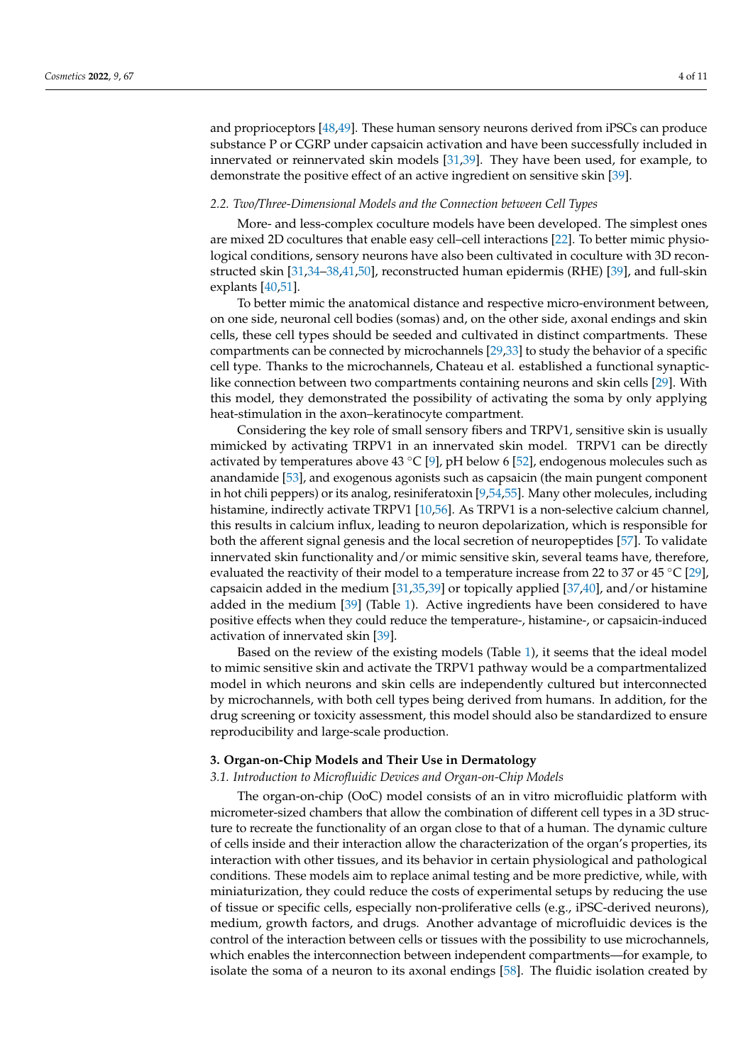and proprioceptors [\[48](#page-9-4)[,49\]](#page-9-5). These human sensory neurons derived from iPSCs can produce substance P or CGRP under capsaicin activation and have been successfully included in innervated or reinnervated skin models [\[31,](#page-8-11)[39\]](#page-8-13). They have been used, for example, to demonstrate the positive effect of an active ingredient on sensitive skin [\[39\]](#page-8-13).

#### *2.2. Two/Three-Dimensional Models and the Connection between Cell Types*

More- and less-complex coculture models have been developed. The simplest ones are mixed 2D cocultures that enable easy cell–cell interactions [\[22\]](#page-8-4). To better mimic physiological conditions, sensory neurons have also been cultivated in coculture with 3D reconstructed skin [\[31,](#page-8-11)[34](#page-8-24)[–38,](#page-8-16)[41,](#page-8-18)[50\]](#page-9-6), reconstructed human epidermis (RHE) [\[39\]](#page-8-13), and full-skin explants [\[40,](#page-8-17)[51\]](#page-9-7).

To better mimic the anatomical distance and respective micro-environment between, on one side, neuronal cell bodies (somas) and, on the other side, axonal endings and skin cells, these cell types should be seeded and cultivated in distinct compartments. These compartments can be connected by microchannels [\[29,](#page-8-10)[33\]](#page-8-23) to study the behavior of a specific cell type. Thanks to the microchannels, Chateau et al. established a functional synapticlike connection between two compartments containing neurons and skin cells [\[29\]](#page-8-10). With this model, they demonstrated the possibility of activating the soma by only applying heat-stimulation in the axon–keratinocyte compartment.

Considering the key role of small sensory fibers and TRPV1, sensitive skin is usually mimicked by activating TRPV1 in an innervated skin model. TRPV1 can be directly activated by temperatures above 43 °C [\[9\]](#page-7-8), pH below 6 [\[52\]](#page-9-8), endogenous molecules such as anandamide [\[53\]](#page-9-9), and exogenous agonists such as capsaicin (the main pungent component in hot chili peppers) or its analog, resiniferatoxin [\[9,](#page-7-8)[54,](#page-9-10)[55\]](#page-9-11). Many other molecules, including histamine, indirectly activate TRPV1 [\[10,](#page-7-9)[56\]](#page-9-12). As TRPV1 is a non-selective calcium channel, this results in calcium influx, leading to neuron depolarization, which is responsible for both the afferent signal genesis and the local secretion of neuropeptides [\[57\]](#page-9-13). To validate innervated skin functionality and/or mimic sensitive skin, several teams have, therefore, evaluated the reactivity of their model to a temperature increase from 22 to 37 or 45 °C [\[29\]](#page-8-10), capsaicin added in the medium [\[31,](#page-8-11)[35,](#page-8-14)[39\]](#page-8-13) or topically applied [\[37,](#page-8-21)[40\]](#page-8-17), and/or histamine added in the medium [\[39\]](#page-8-13) (Table [1\)](#page-2-0). Active ingredients have been considered to have positive effects when they could reduce the temperature-, histamine-, or capsaicin-induced activation of innervated skin [\[39\]](#page-8-13).

Based on the review of the existing models (Table [1\)](#page-2-0), it seems that the ideal model to mimic sensitive skin and activate the TRPV1 pathway would be a compartmentalized model in which neurons and skin cells are independently cultured but interconnected by microchannels, with both cell types being derived from humans. In addition, for the drug screening or toxicity assessment, this model should also be standardized to ensure reproducibility and large-scale production.

#### **3. Organ-on-Chip Models and Their Use in Dermatology**

## *3.1. Introduction to Microfluidic Devices and Organ-on-Chip Models*

The organ-on-chip (OoC) model consists of an in vitro microfluidic platform with micrometer-sized chambers that allow the combination of different cell types in a 3D structure to recreate the functionality of an organ close to that of a human. The dynamic culture of cells inside and their interaction allow the characterization of the organ's properties, its interaction with other tissues, and its behavior in certain physiological and pathological conditions. These models aim to replace animal testing and be more predictive, while, with miniaturization, they could reduce the costs of experimental setups by reducing the use of tissue or specific cells, especially non-proliferative cells (e.g., iPSC-derived neurons), medium, growth factors, and drugs. Another advantage of microfluidic devices is the control of the interaction between cells or tissues with the possibility to use microchannels, which enables the interconnection between independent compartments—for example, to isolate the soma of a neuron to its axonal endings [\[58\]](#page-9-14). The fluidic isolation created by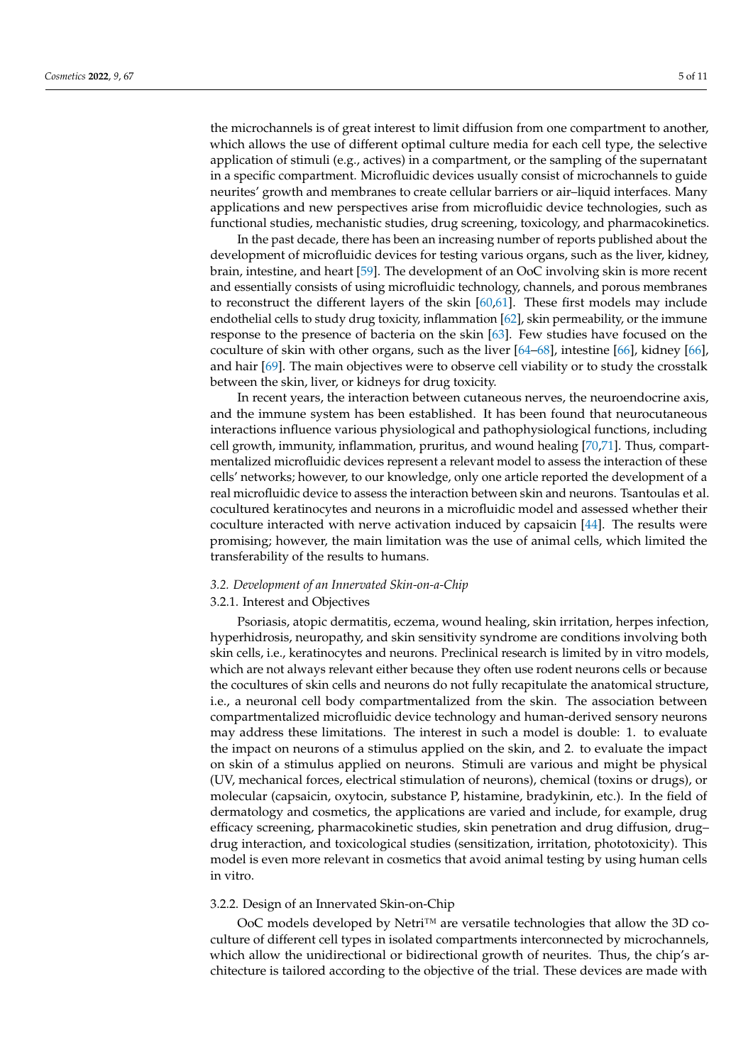the microchannels is of great interest to limit diffusion from one compartment to another, which allows the use of different optimal culture media for each cell type, the selective application of stimuli (e.g., actives) in a compartment, or the sampling of the supernatant in a specific compartment. Microfluidic devices usually consist of microchannels to guide neurites' growth and membranes to create cellular barriers or air–liquid interfaces. Many applications and new perspectives arise from microfluidic device technologies, such as functional studies, mechanistic studies, drug screening, toxicology, and pharmacokinetics.

In the past decade, there has been an increasing number of reports published about the development of microfluidic devices for testing various organs, such as the liver, kidney, brain, intestine, and heart [\[59\]](#page-9-15). The development of an OoC involving skin is more recent and essentially consists of using microfluidic technology, channels, and porous membranes to reconstruct the different layers of the skin [\[60](#page-9-16)[,61\]](#page-9-17). These first models may include endothelial cells to study drug toxicity, inflammation [\[62\]](#page-9-18), skin permeability, or the immune response to the presence of bacteria on the skin [\[63\]](#page-9-19). Few studies have focused on the coculture of skin with other organs, such as the liver [\[64–](#page-9-20)[68\]](#page-9-21), intestine [\[66\]](#page-9-22), kidney [\[66\]](#page-9-22), and hair [\[69\]](#page-9-23). The main objectives were to observe cell viability or to study the crosstalk between the skin, liver, or kidneys for drug toxicity.

In recent years, the interaction between cutaneous nerves, the neuroendocrine axis, and the immune system has been established. It has been found that neurocutaneous interactions influence various physiological and pathophysiological functions, including cell growth, immunity, inflammation, pruritus, and wound healing [\[70,](#page-9-24)[71\]](#page-10-0). Thus, compartmentalized microfluidic devices represent a relevant model to assess the interaction of these cells' networks; however, to our knowledge, only one article reported the development of a real microfluidic device to assess the interaction between skin and neurons. Tsantoulas et al. cocultured keratinocytes and neurons in a microfluidic model and assessed whether their coculture interacted with nerve activation induced by capsaicin [\[44\]](#page-9-0). The results were promising; however, the main limitation was the use of animal cells, which limited the transferability of the results to humans.

## *3.2. Development of an Innervated Skin-on-a-Chip*

## 3.2.1. Interest and Objectives

Psoriasis, atopic dermatitis, eczema, wound healing, skin irritation, herpes infection, hyperhidrosis, neuropathy, and skin sensitivity syndrome are conditions involving both skin cells, i.e., keratinocytes and neurons. Preclinical research is limited by in vitro models, which are not always relevant either because they often use rodent neurons cells or because the cocultures of skin cells and neurons do not fully recapitulate the anatomical structure, i.e., a neuronal cell body compartmentalized from the skin. The association between compartmentalized microfluidic device technology and human-derived sensory neurons may address these limitations. The interest in such a model is double: 1. to evaluate the impact on neurons of a stimulus applied on the skin, and 2. to evaluate the impact on skin of a stimulus applied on neurons. Stimuli are various and might be physical (UV, mechanical forces, electrical stimulation of neurons), chemical (toxins or drugs), or molecular (capsaicin, oxytocin, substance P, histamine, bradykinin, etc.). In the field of dermatology and cosmetics, the applications are varied and include, for example, drug efficacy screening, pharmacokinetic studies, skin penetration and drug diffusion, drug– drug interaction, and toxicological studies (sensitization, irritation, phototoxicity). This model is even more relevant in cosmetics that avoid animal testing by using human cells in vitro.

## 3.2.2. Design of an Innervated Skin-on-Chip

OoC models developed by Netri<sup>™</sup> are versatile technologies that allow the 3D coculture of different cell types in isolated compartments interconnected by microchannels, which allow the unidirectional or bidirectional growth of neurites. Thus, the chip's architecture is tailored according to the objective of the trial. These devices are made with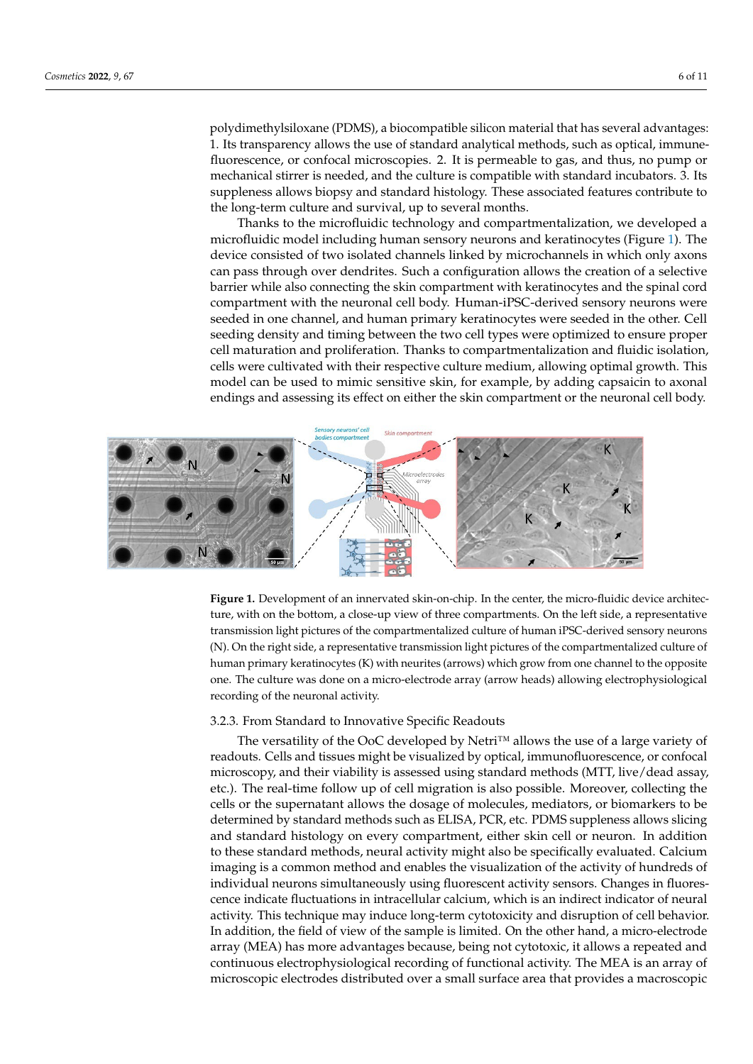polydimethylsiloxane (PDMS), a biocompatible silicon material that has several advantages: 1. Its transparency allows the use of standard analytical methods, such as optical, immunefluorescence, or confocal microscopies. 2. It is permeable to gas, and thus, no pump or mechanical stirrer is needed, and the culture is compatible with standard incubators. 3. Its suppleness allows biopsy and standard histology. These associated features contribute to the long-term culture and survival, up to several months.

Thanks to the microfluidic technology and compartmentalization, we developed a microfluidic model including human sensory neurons and keratinocytes (Figure [1\)](#page-5-0). The device consisted of two isolated channels linked by microchannels in which only axons can pass through over dendrites. Such a configuration allows the creation of a selective barrier while also connecting the skin compartment with keratinocytes and the spinal cord compartment with the neuronal cell body. Human-iPSC-derived sensory neurons were seeded in one channel, and human primary keratinocytes were seeded in the other. Cell seeding density and timing between the two cell types were optimized to ensure proper cell maturation and proliferation. Thanks to compartmentalization and fluidic isolation, cells were cultivated with their respective culture medium, allowing optimal growth. This model can be used to mimic sensitive skin, for example, by adding capsaicin to axonal endings and assessing its effect on either the skin compartment or the neuronal cell body.

<span id="page-5-0"></span>

**Figure 1.** Development of an innervated skin-on-chip. In the center, the micro-fluidic device architecture, with on the bottom, a close-up view of three compartments. On the left side, a representative transmission light pictures of the compartmentalized culture of human iPSC-derived sensory neurons (N). On the right side, a representative transmission light pictures of the compartmentalized culture of human primary keratinocytes (K) with neurites (arrows) which grow from one channel to the opposite one. The culture was done on a micro-electrode array (arrow heads) allowing electrophysiological recording of the neuronal activity.

#### 3.2.3. From Standard to Innovative Specific Readouts

3.2.3. From Standard to Innovative Specific Readouts The versatility of the OoC developed by Netri™ allows the use of a large variety of readouts. Cells and tissues might be visualized by optical, immunofluorescence, or confocal microscopy, and their viability is assessed using standard methods (MTT, live/dead assay, etc.). The real-time follow up of cell migration is also possible. Moreover, collecting the cells or the supernatant allows the dosage of molecules, mediators, or biomarkers to be determined by standard methods such as ELISA, PCR, etc. PDMS suppleness allows slicing and standard histology on every compartment, either skin cell or neuron. In addition to these standard methods, heliai delivity hight also be specifiedly evaluated. Calciant imaging is a common method and enables the visualization of the activity of hundreds of individual neurons simultaneously using fluorescent activity sensors. Changes in fluorescence indicate fluctuations in intracellular calcium, which is an indirect indicator of neural activity. This technique may induce long-term cytotoxicity and disruption of cell behavior. In addition, the field of view of the sample is limited. On the other hand, a micro-electrode array (MEA) has more advantages because, being not cytotoxic, it allows a repeated and continuous electrophysiological recording of functional activity. The MEA is an array of microscopic electrodes distributed over a small surface area that provides a macroscopic to these standard methods, neural activity might also be specifically evaluated. Calcium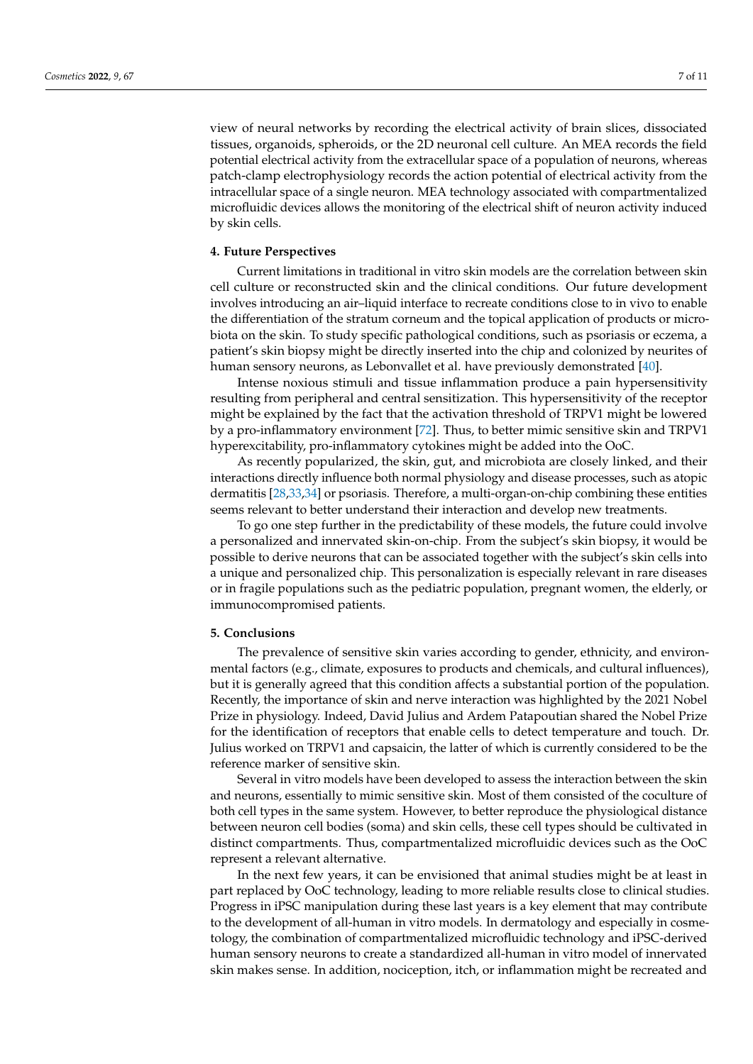view of neural networks by recording the electrical activity of brain slices, dissociated tissues, organoids, spheroids, or the 2D neuronal cell culture. An MEA records the field potential electrical activity from the extracellular space of a population of neurons, whereas patch-clamp electrophysiology records the action potential of electrical activity from the intracellular space of a single neuron. MEA technology associated with compartmentalized microfluidic devices allows the monitoring of the electrical shift of neuron activity induced by skin cells.

#### **4. Future Perspectives**

Current limitations in traditional in vitro skin models are the correlation between skin cell culture or reconstructed skin and the clinical conditions. Our future development involves introducing an air–liquid interface to recreate conditions close to in vivo to enable the differentiation of the stratum corneum and the topical application of products or microbiota on the skin. To study specific pathological conditions, such as psoriasis or eczema, a patient's skin biopsy might be directly inserted into the chip and colonized by neurites of human sensory neurons, as Lebonvallet et al. have previously demonstrated [\[40\]](#page-8-17).

Intense noxious stimuli and tissue inflammation produce a pain hypersensitivity resulting from peripheral and central sensitization. This hypersensitivity of the receptor might be explained by the fact that the activation threshold of TRPV1 might be lowered by a pro-inflammatory environment [\[72\]](#page-10-1). Thus, to better mimic sensitive skin and TRPV1 hyperexcitability, pro-inflammatory cytokines might be added into the OoC.

As recently popularized, the skin, gut, and microbiota are closely linked, and their interactions directly influence both normal physiology and disease processes, such as atopic dermatitis [\[28,](#page-8-9)[33](#page-8-23)[,34\]](#page-8-24) or psoriasis. Therefore, a multi-organ-on-chip combining these entities seems relevant to better understand their interaction and develop new treatments.

To go one step further in the predictability of these models, the future could involve a personalized and innervated skin-on-chip. From the subject's skin biopsy, it would be possible to derive neurons that can be associated together with the subject's skin cells into a unique and personalized chip. This personalization is especially relevant in rare diseases or in fragile populations such as the pediatric population, pregnant women, the elderly, or immunocompromised patients.

#### **5. Conclusions**

The prevalence of sensitive skin varies according to gender, ethnicity, and environmental factors (e.g., climate, exposures to products and chemicals, and cultural influences), but it is generally agreed that this condition affects a substantial portion of the population. Recently, the importance of skin and nerve interaction was highlighted by the 2021 Nobel Prize in physiology. Indeed, David Julius and Ardem Patapoutian shared the Nobel Prize for the identification of receptors that enable cells to detect temperature and touch. Dr. Julius worked on TRPV1 and capsaicin, the latter of which is currently considered to be the reference marker of sensitive skin.

Several in vitro models have been developed to assess the interaction between the skin and neurons, essentially to mimic sensitive skin. Most of them consisted of the coculture of both cell types in the same system. However, to better reproduce the physiological distance between neuron cell bodies (soma) and skin cells, these cell types should be cultivated in distinct compartments. Thus, compartmentalized microfluidic devices such as the OoC represent a relevant alternative.

In the next few years, it can be envisioned that animal studies might be at least in part replaced by OoC technology, leading to more reliable results close to clinical studies. Progress in iPSC manipulation during these last years is a key element that may contribute to the development of all-human in vitro models. In dermatology and especially in cosmetology, the combination of compartmentalized microfluidic technology and iPSC-derived human sensory neurons to create a standardized all-human in vitro model of innervated skin makes sense. In addition, nociception, itch, or inflammation might be recreated and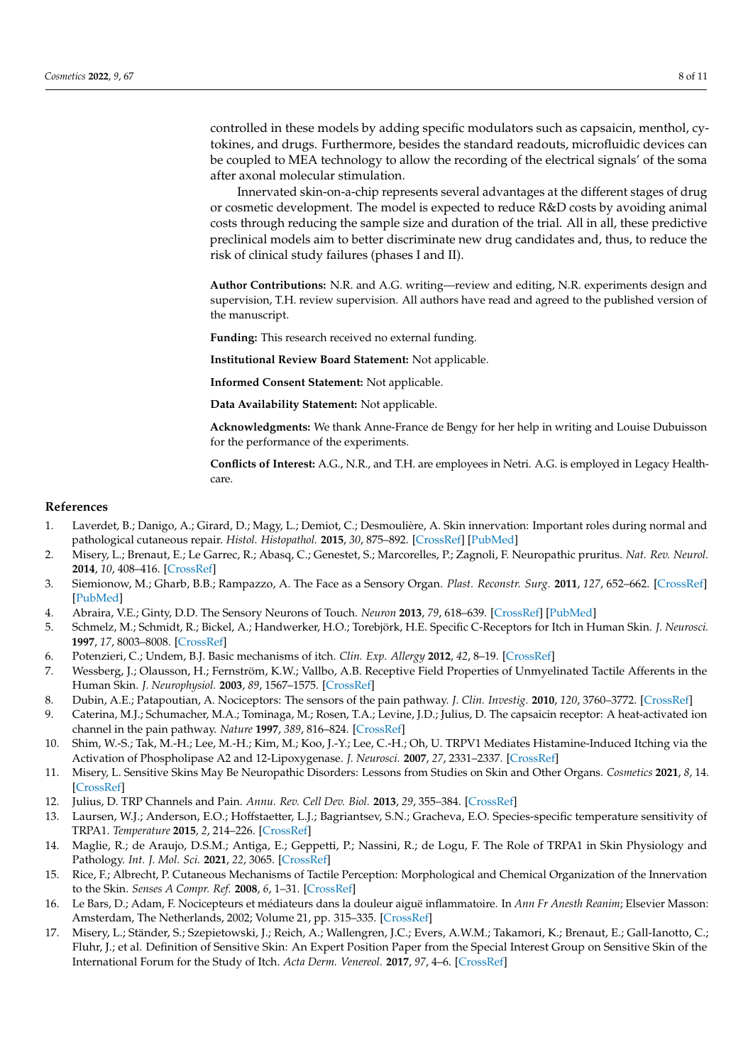controlled in these models by adding specific modulators such as capsaicin, menthol, cytokines, and drugs. Furthermore, besides the standard readouts, microfluidic devices can be coupled to MEA technology to allow the recording of the electrical signals' of the soma after axonal molecular stimulation.

Innervated skin-on-a-chip represents several advantages at the different stages of drug or cosmetic development. The model is expected to reduce R&D costs by avoiding animal costs through reducing the sample size and duration of the trial. All in all, these predictive preclinical models aim to better discriminate new drug candidates and, thus, to reduce the risk of clinical study failures (phases I and II).

**Author Contributions:** N.R. and A.G. writing—review and editing, N.R. experiments design and supervision, T.H. review supervision. All authors have read and agreed to the published version of the manuscript.

**Funding:** This research received no external funding.

**Institutional Review Board Statement:** Not applicable.

**Informed Consent Statement:** Not applicable.

**Data Availability Statement:** Not applicable.

**Acknowledgments:** We thank Anne-France de Bengy for her help in writing and Louise Dubuisson for the performance of the experiments.

**Conflicts of Interest:** A.G., N.R., and T.H. are employees in Netri. A.G. is employed in Legacy Healthcare.

#### **References**

- <span id="page-7-0"></span>1. Laverdet, B.; Danigo, A.; Girard, D.; Magy, L.; Demiot, C.; Desmoulière, A. Skin innervation: Important roles during normal and pathological cutaneous repair. *Histol. Histopathol.* **2015**, *30*, 875–892. [\[CrossRef\]](http://doi.org/10.14670/HH-11-610) [\[PubMed\]](http://www.ncbi.nlm.nih.gov/pubmed/25799052)
- <span id="page-7-1"></span>2. Misery, L.; Brenaut, E.; Le Garrec, R.; Abasq, C.; Genestet, S.; Marcorelles, P.; Zagnoli, F. Neuropathic pruritus. *Nat. Rev. Neurol.* **2014**, *10*, 408–416. [\[CrossRef\]](http://doi.org/10.1038/nrneurol.2014.99)
- <span id="page-7-2"></span>3. Siemionow, M.; Gharb, B.B.; Rampazzo, A. The Face as a Sensory Organ. *Plast. Reconstr. Surg.* **2011**, *127*, 652–662. [\[CrossRef\]](http://doi.org/10.1097/PRS.0b013e3181fed6fd) [\[PubMed\]](http://www.ncbi.nlm.nih.gov/pubmed/21285770)
- <span id="page-7-3"></span>4. Abraira, V.E.; Ginty, D.D. The Sensory Neurons of Touch. *Neuron* **2013**, *79*, 618–639. [\[CrossRef\]](http://doi.org/10.1016/j.neuron.2013.07.051) [\[PubMed\]](http://www.ncbi.nlm.nih.gov/pubmed/23972592)
- <span id="page-7-4"></span>5. Schmelz, M.; Schmidt, R.; Bickel, A.; Handwerker, H.O.; Torebjörk, H.E. Specific C-Receptors for Itch in Human Skin. *J. Neurosci.* **1997**, *17*, 8003–8008. [\[CrossRef\]](http://doi.org/10.1523/JNEUROSCI.17-20-08003.1997)
- <span id="page-7-5"></span>6. Potenzieri, C.; Undem, B.J. Basic mechanisms of itch. *Clin. Exp. Allergy* **2012**, *42*, 8–19. [\[CrossRef\]](http://doi.org/10.1111/j.1365-2222.2011.03791.x)
- <span id="page-7-6"></span>7. Wessberg, J.; Olausson, H.; Fernström, K.W.; Vallbo, A.B. Receptive Field Properties of Unmyelinated Tactile Afferents in the Human Skin. *J. Neurophysiol.* **2003**, *89*, 1567–1575. [\[CrossRef\]](http://doi.org/10.1152/jn.00256.2002)
- <span id="page-7-7"></span>8. Dubin, A.E.; Patapoutian, A. Nociceptors: The sensors of the pain pathway. *J. Clin. Investig.* **2010**, *120*, 3760–3772. [\[CrossRef\]](http://doi.org/10.1172/JCI42843)
- <span id="page-7-8"></span>9. Caterina, M.J.; Schumacher, M.A.; Tominaga, M.; Rosen, T.A.; Levine, J.D.; Julius, D. The capsaicin receptor: A heat-activated ion channel in the pain pathway. *Nature* **1997**, *389*, 816–824. [\[CrossRef\]](http://doi.org/10.1038/39807)
- <span id="page-7-9"></span>10. Shim, W.-S.; Tak, M.-H.; Lee, M.-H.; Kim, M.; Koo, J.-Y.; Lee, C.-H.; Oh, U. TRPV1 Mediates Histamine-Induced Itching via the Activation of Phospholipase A2 and 12-Lipoxygenase. *J. Neurosci.* **2007**, *27*, 2331–2337. [\[CrossRef\]](http://doi.org/10.1523/JNEUROSCI.4643-06.2007)
- <span id="page-7-10"></span>11. Misery, L. Sensitive Skins May Be Neuropathic Disorders: Lessons from Studies on Skin and Other Organs. *Cosmetics* **2021**, *8*, 14. [\[CrossRef\]](http://doi.org/10.3390/cosmetics8010014)
- <span id="page-7-11"></span>12. Julius, D. TRP Channels and Pain. *Annu. Rev. Cell Dev. Biol.* **2013**, *29*, 355–384. [\[CrossRef\]](http://doi.org/10.1146/annurev-cellbio-101011-155833)
- <span id="page-7-12"></span>13. Laursen, W.J.; Anderson, E.O.; Hoffstaetter, L.J.; Bagriantsev, S.N.; Gracheva, E.O. Species-specific temperature sensitivity of TRPA1. *Temperature* **2015**, *2*, 214–226. [\[CrossRef\]](http://doi.org/10.1080/23328940.2014.1000702)
- <span id="page-7-13"></span>14. Maglie, R.; de Araujo, D.S.M.; Antiga, E.; Geppetti, P.; Nassini, R.; de Logu, F. The Role of TRPA1 in Skin Physiology and Pathology. *Int. J. Mol. Sci.* **2021**, *22*, 3065. [\[CrossRef\]](http://doi.org/10.3390/ijms22063065)
- <span id="page-7-14"></span>15. Rice, F.; Albrecht, P. Cutaneous Mechanisms of Tactile Perception: Morphological and Chemical Organization of the Innervation to the Skin. *Senses A Compr. Ref.* **2008**, *6*, 1–31. [\[CrossRef\]](http://doi.org/10.1016/b978-012370880-9.00340-6)
- <span id="page-7-15"></span>16. Le Bars, D.; Adam, F. Nocicepteurs et médiateurs dans la douleur aiguë inflammatoire. In *Ann Fr Anesth Reanim*; Elsevier Masson: Amsterdam, The Netherlands, 2002; Volume 21, pp. 315–335. [\[CrossRef\]](http://doi.org/10.1016/s0750-7658(02)00592-0)
- <span id="page-7-16"></span>17. Misery, L.; Ständer, S.; Szepietowski, J.; Reich, A.; Wallengren, J.C.; Evers, A.W.M.; Takamori, K.; Brenaut, E.; Gall-Ianotto, C.; Fluhr, J.; et al. Definition of Sensitive Skin: An Expert Position Paper from the Special Interest Group on Sensitive Skin of the International Forum for the Study of Itch. *Acta Derm. Venereol.* **2017**, *97*, 4–6. [\[CrossRef\]](http://doi.org/10.2340/00015555-2397)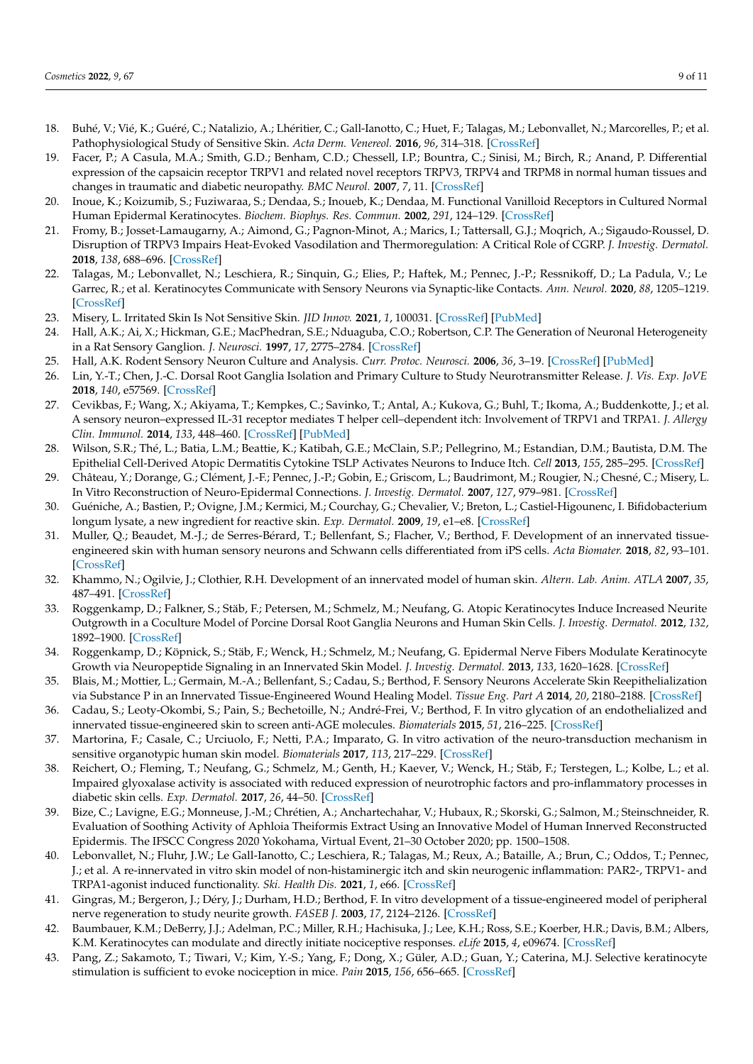- <span id="page-8-0"></span>18. Buhé, V.; Vié, K.; Guéré, C.; Natalizio, A.; Lhéritier, C.; Gall-Ianotto, C.; Huet, F.; Talagas, M.; Lebonvallet, N.; Marcorelles, P.; et al. Pathophysiological Study of Sensitive Skin. *Acta Derm. Venereol.* **2016**, *96*, 314–318. [\[CrossRef\]](http://doi.org/10.2340/00015555-2235)
- <span id="page-8-1"></span>19. Facer, P.; A Casula, M.A.; Smith, G.D.; Benham, C.D.; Chessell, I.P.; Bountra, C.; Sinisi, M.; Birch, R.; Anand, P. Differential expression of the capsaicin receptor TRPV1 and related novel receptors TRPV3, TRPV4 and TRPM8 in normal human tissues and changes in traumatic and diabetic neuropathy. *BMC Neurol.* **2007**, *7*, 11. [\[CrossRef\]](http://doi.org/10.1186/1471-2377-7-11)
- <span id="page-8-2"></span>20. Inoue, K.; Koizumib, S.; Fuziwaraa, S.; Dendaa, S.; Inoueb, K.; Dendaa, M. Functional Vanilloid Receptors in Cultured Normal Human Epidermal Keratinocytes. *Biochem. Biophys. Res. Commun.* **2002**, *291*, 124–129. [\[CrossRef\]](http://doi.org/10.1006/bbrc.2002.6393)
- <span id="page-8-3"></span>21. Fromy, B.; Josset-Lamaugarny, A.; Aimond, G.; Pagnon-Minot, A.; Marics, I.; Tattersall, G.J.; Moqrich, A.; Sigaudo-Roussel, D. Disruption of TRPV3 Impairs Heat-Evoked Vasodilation and Thermoregulation: A Critical Role of CGRP. *J. Investig. Dermatol.* **2018**, *138*, 688–696. [\[CrossRef\]](http://doi.org/10.1016/j.jid.2017.10.006)
- <span id="page-8-4"></span>22. Talagas, M.; Lebonvallet, N.; Leschiera, R.; Sinquin, G.; Elies, P.; Haftek, M.; Pennec, J.-P.; Ressnikoff, D.; La Padula, V.; Le Garrec, R.; et al. Keratinocytes Communicate with Sensory Neurons via Synaptic-like Contacts. *Ann. Neurol.* **2020**, *88*, 1205–1219. [\[CrossRef\]](http://doi.org/10.1002/ana.25912)
- <span id="page-8-5"></span>23. Misery, L. Irritated Skin Is Not Sensitive Skin. *JID Innov.* **2021**, *1*, 100031. [\[CrossRef\]](http://doi.org/10.1016/j.xjidi.2021.100031) [\[PubMed\]](http://www.ncbi.nlm.nih.gov/pubmed/34909728)
- <span id="page-8-6"></span>24. Hall, A.K.; Ai, X.; Hickman, G.E.; MacPhedran, S.E.; Nduaguba, C.O.; Robertson, C.P. The Generation of Neuronal Heterogeneity in a Rat Sensory Ganglion. *J. Neurosci.* **1997**, *17*, 2775–2784. [\[CrossRef\]](http://doi.org/10.1523/JNEUROSCI.17-08-02775.1997)
- 25. Hall, A.K. Rodent Sensory Neuron Culture and Analysis. *Curr. Protoc. Neurosci.* **2006**, *36*, 3–19. [\[CrossRef\]](http://doi.org/10.1002/0471142301.ns0319s36) [\[PubMed\]](http://www.ncbi.nlm.nih.gov/pubmed/18428634)
- <span id="page-8-7"></span>26. Lin, Y.-T.; Chen, J.-C. Dorsal Root Ganglia Isolation and Primary Culture to Study Neurotransmitter Release. *J. Vis. Exp. JoVE* **2018**, *140*, e57569. [\[CrossRef\]](http://doi.org/10.3791/57569)
- <span id="page-8-8"></span>27. Cevikbas, F.; Wang, X.; Akiyama, T.; Kempkes, C.; Savinko, T.; Antal, A.; Kukova, G.; Buhl, T.; Ikoma, A.; Buddenkotte, J.; et al. A sensory neuron–expressed IL-31 receptor mediates T helper cell–dependent itch: Involvement of TRPV1 and TRPA1. *J. Allergy Clin. Immunol.* **2014**, *133*, 448–460. [\[CrossRef\]](http://doi.org/10.1016/j.jaci.2013.10.048) [\[PubMed\]](http://www.ncbi.nlm.nih.gov/pubmed/24373353)
- <span id="page-8-9"></span>28. Wilson, S.R.; Thé, L.; Batia, L.M.; Beattie, K.; Katibah, G.E.; McClain, S.P.; Pellegrino, M.; Estandian, D.M.; Bautista, D.M. The Epithelial Cell-Derived Atopic Dermatitis Cytokine TSLP Activates Neurons to Induce Itch. *Cell* **2013**, *155*, 285–295. [\[CrossRef\]](http://doi.org/10.1016/j.cell.2013.08.057)
- <span id="page-8-10"></span>29. Château, Y.; Dorange, G.; Clément, J.-F.; Pennec, J.-P.; Gobin, E.; Griscom, L.; Baudrimont, M.; Rougier, N.; Chesné, C.; Misery, L. In Vitro Reconstruction of Neuro-Epidermal Connections. *J. Investig. Dermatol.* **2007**, *127*, 979–981. [\[CrossRef\]](http://doi.org/10.1038/sj.jid.5700646)
- <span id="page-8-12"></span>30. Guéniche, A.; Bastien, P.; Ovigne, J.M.; Kermici, M.; Courchay, G.; Chevalier, V.; Breton, L.; Castiel-Higounenc, I. Bifidobacterium longum lysate, a new ingredient for reactive skin. *Exp. Dermatol.* **2009**, *19*, e1–e8. [\[CrossRef\]](http://doi.org/10.1111/j.1600-0625.2009.00932.x)
- <span id="page-8-11"></span>31. Muller, Q.; Beaudet, M.-J.; de Serres-Bérard, T.; Bellenfant, S.; Flacher, V.; Berthod, F. Development of an innervated tissueengineered skin with human sensory neurons and Schwann cells differentiated from iPS cells. *Acta Biomater.* **2018**, *82*, 93–101. [\[CrossRef\]](http://doi.org/10.1016/j.actbio.2018.10.011)
- <span id="page-8-22"></span>32. Khammo, N.; Ogilvie, J.; Clothier, R.H. Development of an innervated model of human skin. *Altern. Lab. Anim. ATLA* **2007**, *35*, 487–491. [\[CrossRef\]](http://doi.org/10.1177/026119290703500511)
- <span id="page-8-23"></span>33. Roggenkamp, D.; Falkner, S.; Stäb, F.; Petersen, M.; Schmelz, M.; Neufang, G. Atopic Keratinocytes Induce Increased Neurite Outgrowth in a Coculture Model of Porcine Dorsal Root Ganglia Neurons and Human Skin Cells. *J. Investig. Dermatol.* **2012**, *132*, 1892–1900. [\[CrossRef\]](http://doi.org/10.1038/jid.2012.44)
- <span id="page-8-24"></span>34. Roggenkamp, D.; Köpnick, S.; Stäb, F.; Wenck, H.; Schmelz, M.; Neufang, G. Epidermal Nerve Fibers Modulate Keratinocyte Growth via Neuropeptide Signaling in an Innervated Skin Model. *J. Investig. Dermatol.* **2013**, *133*, 1620–1628. [\[CrossRef\]](http://doi.org/10.1038/jid.2012.464)
- <span id="page-8-14"></span>35. Blais, M.; Mottier, L.; Germain, M.-A.; Bellenfant, S.; Cadau, S.; Berthod, F. Sensory Neurons Accelerate Skin Reepithelialization via Substance P in an Innervated Tissue-Engineered Wound Healing Model. *Tissue Eng. Part A* **2014**, *20*, 2180–2188. [\[CrossRef\]](http://doi.org/10.1089/ten.tea.2013.0535)
- <span id="page-8-15"></span>36. Cadau, S.; Leoty-Okombi, S.; Pain, S.; Bechetoille, N.; André-Frei, V.; Berthod, F. In vitro glycation of an endothelialized and innervated tissue-engineered skin to screen anti-AGE molecules. *Biomaterials* **2015**, *51*, 216–225. [\[CrossRef\]](http://doi.org/10.1016/j.biomaterials.2015.01.066)
- <span id="page-8-21"></span>37. Martorina, F.; Casale, C.; Urciuolo, F.; Netti, P.A.; Imparato, G. In vitro activation of the neuro-transduction mechanism in sensitive organotypic human skin model. *Biomaterials* **2017**, *113*, 217–229. [\[CrossRef\]](http://doi.org/10.1016/j.biomaterials.2016.10.051)
- <span id="page-8-16"></span>38. Reichert, O.; Fleming, T.; Neufang, G.; Schmelz, M.; Genth, H.; Kaever, V.; Wenck, H.; Stäb, F.; Terstegen, L.; Kolbe, L.; et al. Impaired glyoxalase activity is associated with reduced expression of neurotrophic factors and pro-inflammatory processes in diabetic skin cells. *Exp. Dermatol.* **2017**, *26*, 44–50. [\[CrossRef\]](http://doi.org/10.1111/exd.13118)
- <span id="page-8-13"></span>39. Bize, C.; Lavigne, E.G.; Monneuse, J.-M.; Chrétien, A.; Anchartechahar, V.; Hubaux, R.; Skorski, G.; Salmon, M.; Steinschneider, R. Evaluation of Soothing Activity of Aphloia Theiformis Extract Using an Innovative Model of Human Innerved Reconstructed Epidermis. The IFSCC Congress 2020 Yokohama, Virtual Event, 21–30 October 2020; pp. 1500–1508.
- <span id="page-8-17"></span>40. Lebonvallet, N.; Fluhr, J.W.; Le Gall-Ianotto, C.; Leschiera, R.; Talagas, M.; Reux, A.; Bataille, A.; Brun, C.; Oddos, T.; Pennec, J.; et al. A re-innervated in vitro skin model of non-histaminergic itch and skin neurogenic inflammation: PAR2-, TRPV1- and TRPA1-agonist induced functionality. *Ski. Health Dis.* **2021**, *1*, e66. [\[CrossRef\]](http://doi.org/10.1002/ski2.66)
- <span id="page-8-18"></span>41. Gingras, M.; Bergeron, J.; Déry, J.; Durham, H.D.; Berthod, F. In vitro development of a tissue-engineered model of peripheral nerve regeneration to study neurite growth. *FASEB J.* **2003**, *17*, 2124–2126. [\[CrossRef\]](http://doi.org/10.1096/fj.02-1180fje)
- <span id="page-8-19"></span>42. Baumbauer, K.M.; DeBerry, J.J.; Adelman, P.C.; Miller, R.H.; Hachisuka, J.; Lee, K.H.; Ross, S.E.; Koerber, H.R.; Davis, B.M.; Albers, K.M. Keratinocytes can modulate and directly initiate nociceptive responses. *eLife* **2015**, *4*, e09674. [\[CrossRef\]](http://doi.org/10.7554/eLife.09674)
- <span id="page-8-20"></span>43. Pang, Z.; Sakamoto, T.; Tiwari, V.; Kim, Y.-S.; Yang, F.; Dong, X.; Güler, A.D.; Guan, Y.; Caterina, M.J. Selective keratinocyte stimulation is sufficient to evoke nociception in mice. *Pain* **2015**, *156*, 656–665. [\[CrossRef\]](http://doi.org/10.1097/j.pain.0000000000000092)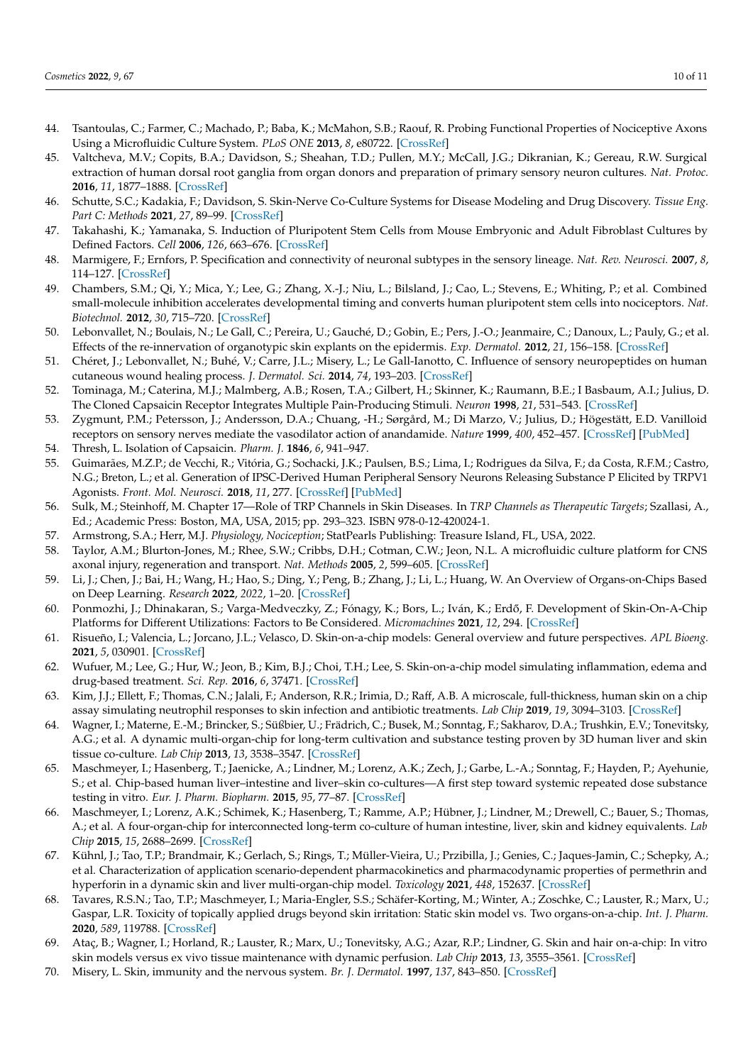- <span id="page-9-0"></span>44. Tsantoulas, C.; Farmer, C.; Machado, P.; Baba, K.; McMahon, S.B.; Raouf, R. Probing Functional Properties of Nociceptive Axons Using a Microfluidic Culture System. *PLoS ONE* **2013**, *8*, e80722. [\[CrossRef\]](http://doi.org/10.1371/journal.pone.0080722)
- <span id="page-9-1"></span>45. Valtcheva, M.V.; Copits, B.A.; Davidson, S.; Sheahan, T.D.; Pullen, M.Y.; McCall, J.G.; Dikranian, K.; Gereau, R.W. Surgical extraction of human dorsal root ganglia from organ donors and preparation of primary sensory neuron cultures. *Nat. Protoc.* **2016**, *11*, 1877–1888. [\[CrossRef\]](http://doi.org/10.1038/nprot.2016.111)
- <span id="page-9-2"></span>46. Schutte, S.C.; Kadakia, F.; Davidson, S. Skin-Nerve Co-Culture Systems for Disease Modeling and Drug Discovery. *Tissue Eng. Part C: Methods* **2021**, *27*, 89–99. [\[CrossRef\]](http://doi.org/10.1089/ten.tec.2020.0296)
- <span id="page-9-3"></span>47. Takahashi, K.; Yamanaka, S. Induction of Pluripotent Stem Cells from Mouse Embryonic and Adult Fibroblast Cultures by Defined Factors. *Cell* **2006**, *126*, 663–676. [\[CrossRef\]](http://doi.org/10.1016/j.cell.2006.07.024)
- <span id="page-9-4"></span>48. Marmigere, F.; Ernfors, P. Specification and connectivity of neuronal subtypes in the sensory lineage. *Nat. Rev. Neurosci.* **2007**, *8*, 114–127. [\[CrossRef\]](http://doi.org/10.1038/nrn2057)
- <span id="page-9-5"></span>49. Chambers, S.M.; Qi, Y.; Mica, Y.; Lee, G.; Zhang, X.-J.; Niu, L.; Bilsland, J.; Cao, L.; Stevens, E.; Whiting, P.; et al. Combined small-molecule inhibition accelerates developmental timing and converts human pluripotent stem cells into nociceptors. *Nat. Biotechnol.* **2012**, *30*, 715–720. [\[CrossRef\]](http://doi.org/10.1038/nbt.2249)
- <span id="page-9-6"></span>50. Lebonvallet, N.; Boulais, N.; Le Gall, C.; Pereira, U.; Gauché, D.; Gobin, E.; Pers, J.-O.; Jeanmaire, C.; Danoux, L.; Pauly, G.; et al. Effects of the re-innervation of organotypic skin explants on the epidermis. *Exp. Dermatol.* **2012**, *21*, 156–158. [\[CrossRef\]](http://doi.org/10.1111/j.1600-0625.2011.01421.x)
- <span id="page-9-7"></span>51. Chéret, J.; Lebonvallet, N.; Buhé, V.; Carre, J.L.; Misery, L.; Le Gall-Ianotto, C. Influence of sensory neuropeptides on human cutaneous wound healing process. *J. Dermatol. Sci.* **2014**, *74*, 193–203. [\[CrossRef\]](http://doi.org/10.1016/j.jdermsci.2014.02.001)
- <span id="page-9-8"></span>52. Tominaga, M.; Caterina, M.J.; Malmberg, A.B.; Rosen, T.A.; Gilbert, H.; Skinner, K.; Raumann, B.E.; I Basbaum, A.I.; Julius, D. The Cloned Capsaicin Receptor Integrates Multiple Pain-Producing Stimuli. *Neuron* **1998**, *21*, 531–543. [\[CrossRef\]](http://doi.org/10.1016/S0896-6273(00)80564-4)
- <span id="page-9-9"></span>53. Zygmunt, P.M.; Petersson, J.; Andersson, D.A.; Chuang, -H.; Sørgård, M.; Di Marzo, V.; Julius, D.; Högestätt, E.D. Vanilloid receptors on sensory nerves mediate the vasodilator action of anandamide. *Nature* **1999**, *400*, 452–457. [\[CrossRef\]](http://doi.org/10.1038/22761) [\[PubMed\]](http://www.ncbi.nlm.nih.gov/pubmed/10440374)
- <span id="page-9-10"></span>54. Thresh, L. Isolation of Capsaicin. *Pharm. J.* **1846**, *6*, 941–947.
- <span id="page-9-11"></span>55. Guimarães, M.Z.P.; de Vecchi, R.; Vitória, G.; Sochacki, J.K.; Paulsen, B.S.; Lima, I.; Rodrigues da Silva, F.; da Costa, R.F.M.; Castro, N.G.; Breton, L.; et al. Generation of IPSC-Derived Human Peripheral Sensory Neurons Releasing Substance P Elicited by TRPV1 Agonists. *Front. Mol. Neurosci.* **2018**, *11*, 277. [\[CrossRef\]](http://doi.org/10.3389/fnmol.2018.00277) [\[PubMed\]](http://www.ncbi.nlm.nih.gov/pubmed/30186108)
- <span id="page-9-12"></span>56. Sulk, M.; Steinhoff, M. Chapter 17—Role of TRP Channels in Skin Diseases. In *TRP Channels as Therapeutic Targets*; Szallasi, A., Ed.; Academic Press: Boston, MA, USA, 2015; pp. 293–323. ISBN 978-0-12-420024-1.
- <span id="page-9-13"></span>57. Armstrong, S.A.; Herr, M.J. *Physiology, Nociception*; StatPearls Publishing: Treasure Island, FL, USA, 2022.
- <span id="page-9-14"></span>58. Taylor, A.M.; Blurton-Jones, M.; Rhee, S.W.; Cribbs, D.H.; Cotman, C.W.; Jeon, N.L. A microfluidic culture platform for CNS axonal injury, regeneration and transport. *Nat. Methods* **2005**, *2*, 599–605. [\[CrossRef\]](http://doi.org/10.1038/nmeth777)
- <span id="page-9-15"></span>59. Li, J.; Chen, J.; Bai, H.; Wang, H.; Hao, S.; Ding, Y.; Peng, B.; Zhang, J.; Li, L.; Huang, W. An Overview of Organs-on-Chips Based on Deep Learning. *Research* **2022**, *2022*, 1–20. [\[CrossRef\]](http://doi.org/10.34133/2022/9869518)
- <span id="page-9-16"></span>60. Ponmozhi, J.; Dhinakaran, S.; Varga-Medveczky, Z.; Fónagy, K.; Bors, L.; Iván, K.; Erdő, F. Development of Skin-On-A-Chip Platforms for Different Utilizations: Factors to Be Considered. *Micromachines* **2021**, *12*, 294. [\[CrossRef\]](http://doi.org/10.3390/mi12030294)
- <span id="page-9-17"></span>61. Risueño, I.; Valencia, L.; Jorcano, J.L.; Velasco, D. Skin-on-a-chip models: General overview and future perspectives. *APL Bioeng.* **2021**, *5*, 030901. [\[CrossRef\]](http://doi.org/10.1063/5.0046376)
- <span id="page-9-18"></span>62. Wufuer, M.; Lee, G.; Hur, W.; Jeon, B.; Kim, B.J.; Choi, T.H.; Lee, S. Skin-on-a-chip model simulating inflammation, edema and drug-based treatment. *Sci. Rep.* **2016**, *6*, 37471. [\[CrossRef\]](http://doi.org/10.1038/srep37471)
- <span id="page-9-19"></span>63. Kim, J.J.; Ellett, F.; Thomas, C.N.; Jalali, F.; Anderson, R.R.; Irimia, D.; Raff, A.B. A microscale, full-thickness, human skin on a chip assay simulating neutrophil responses to skin infection and antibiotic treatments. *Lab Chip* **2019**, *19*, 3094–3103. [\[CrossRef\]](http://doi.org/10.1039/C9LC00399A)
- <span id="page-9-20"></span>64. Wagner, I.; Materne, E.-M.; Brincker, S.; Süßbier, U.; Frädrich, C.; Busek, M.; Sonntag, F.; Sakharov, D.A.; Trushkin, E.V.; Tonevitsky, A.G.; et al. A dynamic multi-organ-chip for long-term cultivation and substance testing proven by 3D human liver and skin tissue co-culture. *Lab Chip* **2013**, *13*, 3538–3547. [\[CrossRef\]](http://doi.org/10.1039/c3lc50234a)
- 65. Maschmeyer, I.; Hasenberg, T.; Jaenicke, A.; Lindner, M.; Lorenz, A.K.; Zech, J.; Garbe, L.-A.; Sonntag, F.; Hayden, P.; Ayehunie, S.; et al. Chip-based human liver–intestine and liver–skin co-cultures—A first step toward systemic repeated dose substance testing in vitro. *Eur. J. Pharm. Biopharm.* **2015**, *95*, 77–87. [\[CrossRef\]](http://doi.org/10.1016/j.ejpb.2015.03.002)
- <span id="page-9-22"></span>66. Maschmeyer, I.; Lorenz, A.K.; Schimek, K.; Hasenberg, T.; Ramme, A.P.; Hübner, J.; Lindner, M.; Drewell, C.; Bauer, S.; Thomas, A.; et al. A four-organ-chip for interconnected long-term co-culture of human intestine, liver, skin and kidney equivalents. *Lab Chip* **2015**, *15*, 2688–2699. [\[CrossRef\]](http://doi.org/10.1039/C5LC00392J)
- 67. Kühnl, J.; Tao, T.P.; Brandmair, K.; Gerlach, S.; Rings, T.; Müller-Vieira, U.; Przibilla, J.; Genies, C.; Jaques-Jamin, C.; Schepky, A.; et al. Characterization of application scenario-dependent pharmacokinetics and pharmacodynamic properties of permethrin and hyperforin in a dynamic skin and liver multi-organ-chip model. *Toxicology* **2021**, *448*, 152637. [\[CrossRef\]](http://doi.org/10.1016/j.tox.2020.152637)
- <span id="page-9-21"></span>68. Tavares, R.S.N.; Tao, T.P.; Maschmeyer, I.; Maria-Engler, S.S.; Schäfer-Korting, M.; Winter, A.; Zoschke, C.; Lauster, R.; Marx, U.; Gaspar, L.R. Toxicity of topically applied drugs beyond skin irritation: Static skin model vs. Two organs-on-a-chip. *Int. J. Pharm.* **2020**, *589*, 119788. [\[CrossRef\]](http://doi.org/10.1016/j.ijpharm.2020.119788)
- <span id="page-9-23"></span>69. Ataç, B.; Wagner, I.; Horland, R.; Lauster, R.; Marx, U.; Tonevitsky, A.G.; Azar, R.P.; Lindner, G. Skin and hair on-a-chip: In vitro skin models versus ex vivo tissue maintenance with dynamic perfusion. *Lab Chip* **2013**, *13*, 3555–3561. [\[CrossRef\]](http://doi.org/10.1039/c3lc50227a)
- <span id="page-9-24"></span>70. Misery, L. Skin, immunity and the nervous system. *Br. J. Dermatol.* **1997**, *137*, 843–850. [\[CrossRef\]](http://doi.org/10.1111/j.1365-2133.1997.tb01542.x)